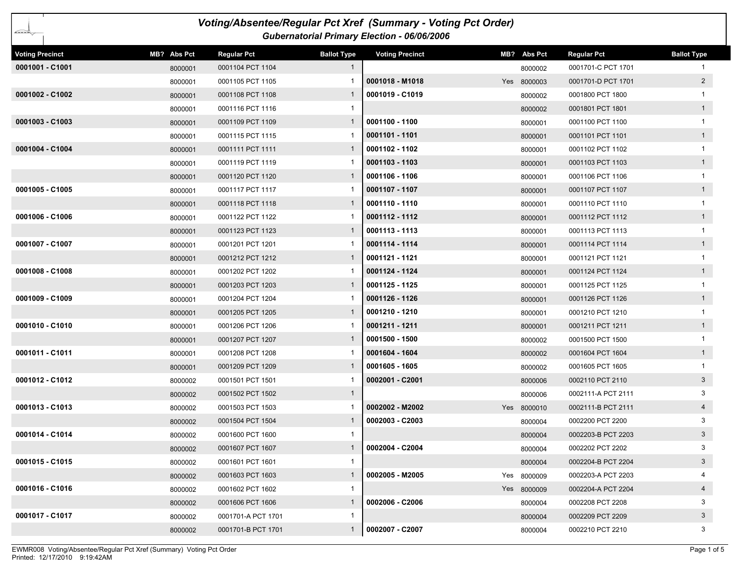|                        |             |                    |                    | Voting/Absentee/Regular Pct Xref (Summary - Voting Pct Order) |             |                    |                    |
|------------------------|-------------|--------------------|--------------------|---------------------------------------------------------------|-------------|--------------------|--------------------|
| ∠≈≈≈                   |             |                    |                    | Gubernatorial Primary Election - 06/06/2006                   |             |                    |                    |
| <b>Voting Precinct</b> | MB? Abs Pct | <b>Regular Pct</b> | <b>Ballot Type</b> | <b>Voting Precinct</b>                                        | MB? Abs Pct | <b>Regular Pct</b> | <b>Ballot Type</b> |
| 0001001 - C1001        | 8000001     | 0001104 PCT 1104   | $\mathbf{1}$       |                                                               | 8000002     | 0001701-C PCT 1701 |                    |
|                        | 8000001     | 0001105 PCT 1105   |                    | 0001018 - M1018                                               | Yes 8000003 | 0001701-D PCT 1701 | $\overline{2}$     |
| 0001002 - C1002        | 8000001     | 0001108 PCT 1108   | 1                  | 0001019 - C1019                                               | 8000002     | 0001800 PCT 1800   |                    |
|                        | 8000001     | 0001116 PCT 1116   |                    |                                                               | 8000002     | 0001801 PCT 1801   | $\overline{1}$     |
| 0001003 - C1003        | 8000001     | 0001109 PCT 1109   | 1                  | 0001100 - 1100                                                | 8000001     | 0001100 PCT 1100   |                    |
|                        | 8000001     | 0001115 PCT 1115   |                    | 0001101 - 1101                                                | 8000001     | 0001101 PCT 1101   | 1                  |
| 0001004 - C1004        | 8000001     | 0001111 PCT 1111   | 1                  | 0001102 - 1102                                                | 8000001     | 0001102 PCT 1102   |                    |
|                        | 8000001     | 0001119 PCT 1119   |                    | 0001103 - 1103                                                | 8000001     | 0001103 PCT 1103   | $\mathbf{1}$       |
|                        | 8000001     | 0001120 PCT 1120   | $\mathbf{1}$       | 0001106 - 1106                                                | 8000001     | 0001106 PCT 1106   |                    |
| 0001005 - C1005        | 8000001     | 0001117 PCT 1117   |                    | $0001107 - 1107$                                              | 8000001     | 0001107 PCT 1107   | $\overline{1}$     |
|                        | 8000001     | 0001118 PCT 1118   | 1                  | 0001110 - 1110                                                | 8000001     | 0001110 PCT 1110   | $\mathbf{1}$       |
| 0001006 - C1006        | 8000001     | 0001122 PCT 1122   |                    | 0001112 - 1112                                                | 8000001     | 0001112 PCT 1112   | $\mathbf{1}$       |
|                        | 8000001     | 0001123 PCT 1123   | 1                  | 0001113 - 1113                                                | 8000001     | 0001113 PCT 1113   |                    |
| 0001007 - C1007        | 8000001     | 0001201 PCT 1201   |                    | 0001114 - 1114                                                | 8000001     | 0001114 PCT 1114   | 1                  |
|                        | 8000001     | 0001212 PCT 1212   | $\mathbf{1}$       | 0001121 - 1121                                                | 8000001     | 0001121 PCT 1121   |                    |
| 0001008 - C1008        | 8000001     | 0001202 PCT 1202   |                    | 0001124 - 1124                                                | 8000001     | 0001124 PCT 1124   | 1                  |
|                        | 8000001     | 0001203 PCT 1203   |                    | 0001125 - 1125                                                | 8000001     | 0001125 PCT 1125   |                    |
| 0001009 - C1009        | 8000001     | 0001204 PCT 1204   |                    | 0001126 - 1126                                                | 8000001     | 0001126 PCT 1126   | 1                  |
|                        | 8000001     | 0001205 PCT 1205   | 1                  | 0001210 - 1210                                                | 8000001     | 0001210 PCT 1210   |                    |
| 0001010 - C1010        | 8000001     | 0001206 PCT 1206   |                    | 0001211 - 1211                                                | 8000001     | 0001211 PCT 1211   | $\mathbf{1}$       |
|                        | 8000001     | 0001207 PCT 1207   | $\mathbf{1}$       | 0001500 - 1500                                                | 8000002     | 0001500 PCT 1500   |                    |
| 0001011 - C1011        | 8000001     | 0001208 PCT 1208   |                    | 0001604 - 1604                                                | 8000002     | 0001604 PCT 1604   | $\mathbf{1}$       |
|                        | 8000001     | 0001209 PCT 1209   | 1                  | 0001605 - 1605                                                | 8000002     | 0001605 PCT 1605   |                    |
| 0001012 - C1012        | 8000002     | 0001501 PCT 1501   |                    | 0002001 - C2001                                               | 8000006     | 0002110 PCT 2110   | $\mathbf{3}$       |
|                        | 8000002     | 0001502 PCT 1502   | $\mathbf{1}$       |                                                               | 8000006     | 0002111-A PCT 2111 | 3                  |
| 0001013 - C1013        | 8000002     | 0001503 PCT 1503   |                    | 0002002 - M2002                                               | Yes 8000010 | 0002111-B PCT 2111 | $\overline{4}$     |
|                        | 8000002     | 0001504 PCT 1504   | 1                  | 0002003 - C2003                                               | 8000004     | 0002200 PCT 2200   | 3                  |
| 0001014 - C1014        | 8000002     | 0001600 PCT 1600   | $\mathbf{1}$       |                                                               | 8000004     | 0002203-B PCT 2203 | $\mathbf{3}$       |
|                        | 8000002     | 0001607 PCT 1607   |                    | 0002004 - C2004                                               | 8000004     | 0002202 PCT 2202   | 3                  |
| 0001015 - C1015        | 8000002     | 0001601 PCT 1601   | $\mathbf{1}$       |                                                               | 8000004     | 0002204-B PCT 2204 | $\mathbf{3}$       |
|                        | 8000002     | 0001603 PCT 1603   | $\mathbf{1}$       | 0002005 - M2005                                               | Yes 8000009 | 0002203-A PCT 2203 |                    |
| 0001016 - C1016        | 8000002     | 0001602 PCT 1602   | $\mathbf{1}$       |                                                               | Yes 8000009 | 0002204-A PCT 2204 | $\overline{4}$     |
|                        | 8000002     | 0001606 PCT 1606   | $\mathbf{1}$       | 0002006 - C2006                                               | 8000004     | 0002208 PCT 2208   | 3                  |
| 0001017 - C1017        | 8000002     | 0001701-A PCT 1701 | -1                 |                                                               | 8000004     | 0002209 PCT 2209   | $\mathbf{3}$       |
|                        | 8000002     | 0001701-B PCT 1701 | $\mathbf{1}$       | 0002007 - C2007                                               | 8000004     | 0002210 PCT 2210   | 3                  |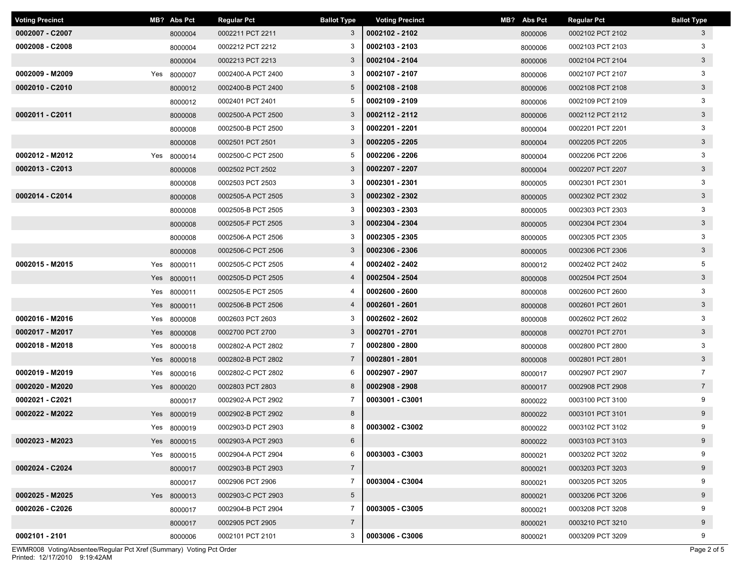| <b>Voting Precinct</b> | MB? Abs Pct | <b>Regular Pct</b> | <b>Ballot Type</b> | <b>Voting Precinct</b> | MB? Abs Pct | <b>Regular Pct</b> | <b>Ballot Type</b> |
|------------------------|-------------|--------------------|--------------------|------------------------|-------------|--------------------|--------------------|
| 0002007 - C2007        | 8000004     | 0002211 PCT 2211   | 3                  | 0002102 - 2102         | 8000006     | 0002102 PCT 2102   | 3                  |
| 0002008 - C2008        | 8000004     | 0002212 PCT 2212   | 3                  | 0002103 - 2103         | 8000006     | 0002103 PCT 2103   | 3                  |
|                        | 8000004     | 0002213 PCT 2213   | 3                  | 0002104 - 2104         | 8000006     | 0002104 PCT 2104   | $3\overline{3}$    |
| 0002009 - M2009        | Yes 8000007 | 0002400-A PCT 2400 | 3                  | 0002107 - 2107         | 8000006     | 0002107 PCT 2107   | 3                  |
| 0002010 - C2010        | 8000012     | 0002400-B PCT 2400 | $5^{\circ}$        | 0002108 - 2108         | 8000006     | 0002108 PCT 2108   | $\mathbf{3}$       |
|                        | 8000012     | 0002401 PCT 2401   | 5                  | 0002109 - 2109         | 8000006     | 0002109 PCT 2109   | 3                  |
| 0002011 - C2011        | 8000008     | 0002500-A PCT 2500 | 3                  | 0002112 - 2112         | 8000006     | 0002112 PCT 2112   | $3\phantom{.0}$    |
|                        | 8000008     | 0002500-B PCT 2500 | 3                  | 0002201 - 2201         | 8000004     | 0002201 PCT 2201   | 3                  |
|                        | 8000008     | 0002501 PCT 2501   | 3                  | 0002205 - 2205         | 8000004     | 0002205 PCT 2205   | $\mathbf{3}$       |
| 0002012 - M2012        | Yes 8000014 | 0002500-C PCT 2500 | 5                  | 0002206 - 2206         | 8000004     | 0002206 PCT 2206   | 3                  |
| 0002013 - C2013        | 8000008     | 0002502 PCT 2502   | 3                  | 0002207 - 2207         | 8000004     | 0002207 PCT 2207   | $3\phantom{.0}$    |
|                        | 8000008     | 0002503 PCT 2503   | 3                  | 0002301 - 2301         | 8000005     | 0002301 PCT 2301   | 3                  |
| 0002014 - C2014        | 8000008     | 0002505-A PCT 2505 | 3                  | 0002302 - 2302         | 8000005     | 0002302 PCT 2302   | $\mathbf{3}$       |
|                        | 8000008     | 0002505-B PCT 2505 | 3                  | 0002303 - 2303         | 8000005     | 0002303 PCT 2303   | 3                  |
|                        | 8000008     | 0002505-F PCT 2505 | 3                  | 0002304 - 2304         | 8000005     | 0002304 PCT 2304   | $3\overline{3}$    |
|                        | 8000008     | 0002506-A PCT 2506 | 3                  | 0002305 - 2305         | 8000005     | 0002305 PCT 2305   | 3                  |
|                        | 8000008     | 0002506-C PCT 2506 | 3                  | 0002306 - 2306         | 8000005     | 0002306 PCT 2306   | $\mathbf{3}$       |
| 0002015 - M2015        | Yes 8000011 | 0002505-C PCT 2505 | 4                  | 0002402 - 2402         | 8000012     | 0002402 PCT 2402   | 5                  |
|                        | Yes 8000011 | 0002505-D PCT 2505 | 4                  | 0002504 - 2504         | 8000008     | 0002504 PCT 2504   | $\mathbf{3}$       |
|                        | Yes 8000011 | 0002505-E PCT 2505 |                    | 0002600 - 2600         | 8000008     | 0002600 PCT 2600   | 3                  |
|                        | Yes 8000011 | 0002506-B PCT 2506 | 4                  | 0002601 - 2601         | 8000008     | 0002601 PCT 2601   | $3\overline{3}$    |
| 0002016 - M2016        | Yes 8000008 | 0002603 PCT 2603   | 3                  | 0002602 - 2602         | 8000008     | 0002602 PCT 2602   | 3                  |
| 0002017 - M2017        | Yes 8000008 | 0002700 PCT 2700   | 3                  | 0002701 - 2701         | 8000008     | 0002701 PCT 2701   | $3\phantom{.0}$    |
| 0002018 - M2018        | Yes 8000018 | 0002802-A PCT 2802 | $\overline{7}$     | 0002800 - 2800         | 8000008     | 0002800 PCT 2800   | 3                  |
|                        | Yes 8000018 | 0002802-B PCT 2802 | $\overline{7}$     | 0002801 - 2801         | 8000008     | 0002801 PCT 2801   | $\mathbf{3}$       |
| 0002019 - M2019        | Yes 8000016 | 0002802-C PCT 2802 | 6                  | 0002907 - 2907         | 8000017     | 0002907 PCT 2907   | $\overline{7}$     |
| 0002020 - M2020        | Yes 8000020 | 0002803 PCT 2803   | 8                  | 0002908 - 2908         | 8000017     | 0002908 PCT 2908   | $7\overline{ }$    |
| 0002021 - C2021        | 8000017     | 0002902-A PCT 2902 | 7                  | 0003001 - C3001        | 8000022     | 0003100 PCT 3100   | 9                  |
| 0002022 - M2022        | Yes 8000019 | 0002902-B PCT 2902 | 8                  |                        | 8000022     | 0003101 PCT 3101   | 9                  |
|                        | Yes 8000019 | 0002903-D PCT 2903 | 8                  | 0003002 - C3002        | 8000022     | 0003102 PCT 3102   | 9                  |
| 0002023 - M2023        | Yes 8000015 | 0002903-A PCT 2903 | $6\phantom{.}6$    |                        | 8000022     | 0003103 PCT 3103   | 9                  |
|                        | Yes 8000015 | 0002904-A PCT 2904 | 6                  | 0003003 - C3003        | 8000021     | 0003202 PCT 3202   | 9                  |
| 0002024 - C2024        | 8000017     | 0002903-B PCT 2903 | $\overline{7}$     |                        | 8000021     | 0003203 PCT 3203   | 9                  |
|                        | 8000017     | 0002906 PCT 2906   | $\overline{7}$     | 0003004 - C3004        | 8000021     | 0003205 PCT 3205   | 9                  |
| 0002025 - M2025        | Yes 8000013 | 0002903-C PCT 2903 | $5\overline{)}$    |                        | 8000021     | 0003206 PCT 3206   | 9                  |
| 0002026 - C2026        | 8000017     | 0002904-B PCT 2904 | $\overline{7}$     | 0003005 - C3005        | 8000021     | 0003208 PCT 3208   | 9                  |
|                        | 8000017     | 0002905 PCT 2905   | $\overline{7}$     |                        | 8000021     | 0003210 PCT 3210   | 9                  |
| 0002101 - 2101         | 8000006     | 0002101 PCT 2101   | 3                  | 0003006 - C3006        | 8000021     | 0003209 PCT 3209   | 9                  |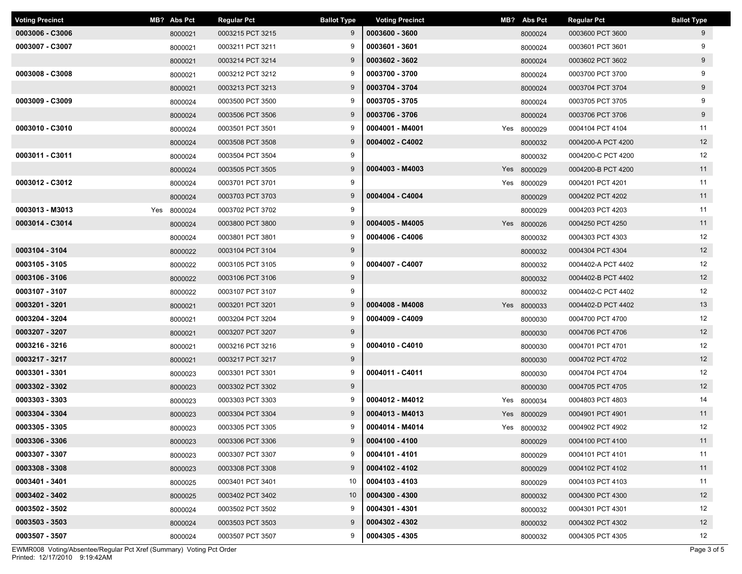| <b>Voting Precinct</b> | MB? Abs Pct    | <b>Regular Pct</b> | <b>Ballot Type</b> | <b>Voting Precinct</b> | MB? Abs Pct | <b>Regular Pct</b> | <b>Ballot Type</b> |
|------------------------|----------------|--------------------|--------------------|------------------------|-------------|--------------------|--------------------|
| 0003006 - C3006        | 8000021        | 0003215 PCT 3215   | 9                  | 0003600 - 3600         | 8000024     | 0003600 PCT 3600   | 9                  |
| 0003007 - C3007        | 8000021        | 0003211 PCT 3211   | 9                  | 0003601 - 3601         | 8000024     | 0003601 PCT 3601   | 9                  |
|                        | 8000021        | 0003214 PCT 3214   | 9                  | 0003602 - 3602         | 8000024     | 0003602 PCT 3602   | 9                  |
| 0003008 - C3008        | 8000021        | 0003212 PCT 3212   | 9                  | 0003700 - 3700         | 8000024     | 0003700 PCT 3700   | 9                  |
|                        | 8000021        | 0003213 PCT 3213   | 9                  | 0003704 - 3704         | 8000024     | 0003704 PCT 3704   | 9                  |
| 0003009 - C3009        | 8000024        | 0003500 PCT 3500   | 9                  | 0003705 - 3705         | 8000024     | 0003705 PCT 3705   | 9                  |
|                        | 8000024        | 0003506 PCT 3506   | 9                  | 0003706 - 3706         | 8000024     | 0003706 PCT 3706   | 9                  |
| 0003010 - C3010        | 8000024        | 0003501 PCT 3501   | 9                  | 0004001 - M4001        | Yes 8000029 | 0004104 PCT 4104   | 11                 |
|                        | 8000024        | 0003508 PCT 3508   | 9                  | 0004002 - C4002        | 8000032     | 0004200-A PCT 4200 | 12                 |
| 0003011 - C3011        | 8000024        | 0003504 PCT 3504   | 9                  |                        | 8000032     | 0004200-C PCT 4200 | 12                 |
|                        | 8000024        | 0003505 PCT 3505   | 9                  | 0004003 - M4003        | Yes 8000029 | 0004200-B PCT 4200 | 11                 |
| 0003012 - C3012        | 8000024        | 0003701 PCT 3701   | 9                  |                        | Yes 8000029 | 0004201 PCT 4201   | 11                 |
|                        | 8000024        | 0003703 PCT 3703   | 9                  | 0004004 - C4004        | 8000029     | 0004202 PCT 4202   | 11                 |
| 0003013 - M3013        | Yes<br>8000024 | 0003702 PCT 3702   | 9                  |                        | 8000029     | 0004203 PCT 4203   | 11                 |
| 0003014 - C3014        | 8000024        | 0003800 PCT 3800   | 9                  | 0004005 - M4005        | Yes 8000026 | 0004250 PCT 4250   | 11                 |
|                        | 8000024        | 0003801 PCT 3801   | 9                  | 0004006 - C4006        | 8000032     | 0004303 PCT 4303   | 12                 |
| 0003104 - 3104         | 8000022        | 0003104 PCT 3104   | 9                  |                        | 8000032     | 0004304 PCT 4304   | 12                 |
| 0003105 - 3105         | 8000022        | 0003105 PCT 3105   | 9                  | 0004007 - C4007        | 8000032     | 0004402-A PCT 4402 | 12                 |
| 0003106 - 3106         | 8000022        | 0003106 PCT 3106   | 9                  |                        | 8000032     | 0004402-B PCT 4402 | 12                 |
| 0003107 - 3107         | 8000022        | 0003107 PCT 3107   | 9                  |                        | 8000032     | 0004402-C PCT 4402 | 12                 |
| 0003201 - 3201         | 8000021        | 0003201 PCT 3201   | 9                  | 0004008 - M4008        | Yes 8000033 | 0004402-D PCT 4402 | 13                 |
| 0003204 - 3204         | 8000021        | 0003204 PCT 3204   | 9                  | 0004009 - C4009        | 8000030     | 0004700 PCT 4700   | 12                 |
| 0003207 - 3207         | 8000021        | 0003207 PCT 3207   | 9                  |                        | 8000030     | 0004706 PCT 4706   | 12                 |
| 0003216 - 3216         | 8000021        | 0003216 PCT 3216   | 9                  | 0004010 - C4010        | 8000030     | 0004701 PCT 4701   | 12                 |
| 0003217 - 3217         | 8000021        | 0003217 PCT 3217   | 9                  |                        | 8000030     | 0004702 PCT 4702   | 12                 |
| 0003301 - 3301         | 8000023        | 0003301 PCT 3301   | 9                  | 0004011 - C4011        | 8000030     | 0004704 PCT 4704   | 12                 |
| 0003302 - 3302         | 8000023        | 0003302 PCT 3302   | 9                  |                        | 8000030     | 0004705 PCT 4705   | 12                 |
| 0003303 - 3303         | 8000023        | 0003303 PCT 3303   | 9                  | 0004012 - M4012        | Yes 8000034 | 0004803 PCT 4803   | 14                 |
| 0003304 - 3304         | 8000023        | 0003304 PCT 3304   | 9                  | 0004013 - M4013        | Yes 8000029 | 0004901 PCT 4901   | 11                 |
| 0003305 - 3305         | 8000023        | 0003305 PCT 3305   | 9                  | 0004014 - M4014        | Yes 8000032 | 0004902 PCT 4902   | 12                 |
| 0003306 - 3306         | 8000023        | 0003306 PCT 3306   | 9                  | 0004100 - 4100         | 8000029     | 0004100 PCT 4100   | 11                 |
| 0003307 - 3307         | 8000023        | 0003307 PCT 3307   | 9                  | 0004101 - 4101         | 8000029     | 0004101 PCT 4101   | 11                 |
| 0003308 - 3308         | 8000023        | 0003308 PCT 3308   | 9                  | 0004102 - 4102         | 8000029     | 0004102 PCT 4102   | 11                 |
| 0003401 - 3401         | 8000025        | 0003401 PCT 3401   | 10                 | 0004103 - 4103         | 8000029     | 0004103 PCT 4103   | 11                 |
| 0003402 - 3402         | 8000025        | 0003402 PCT 3402   | 10                 | 0004300 - 4300         | 8000032     | 0004300 PCT 4300   | 12                 |
| 0003502 - 3502         | 8000024        | 0003502 PCT 3502   | 9                  | 0004301 - 4301         | 8000032     | 0004301 PCT 4301   | 12                 |
| 0003503 - 3503         | 8000024        | 0003503 PCT 3503   | 9                  | 0004302 - 4302         | 8000032     | 0004302 PCT 4302   | 12                 |
| 0003507 - 3507         | 8000024        | 0003507 PCT 3507   | 9                  | 0004305 - 4305         | 8000032     | 0004305 PCT 4305   | 12                 |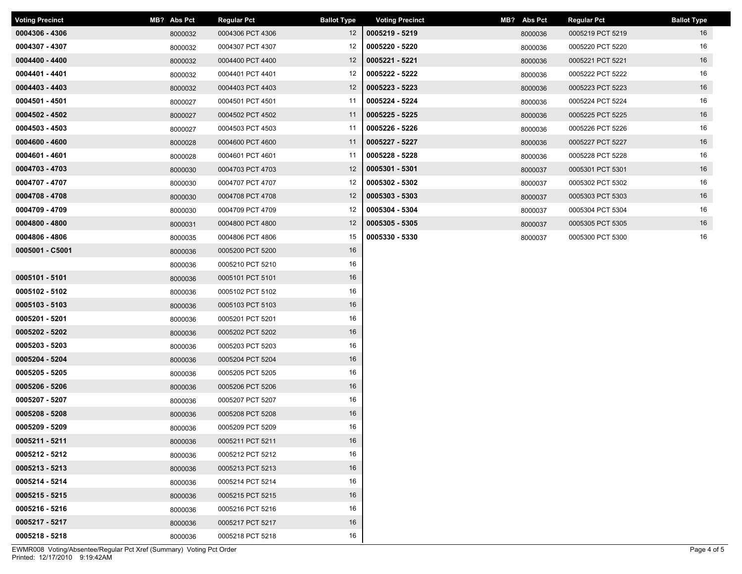| <b>Voting Precinct</b> | MB? Abs Pct | <b>Regular Pct</b> | <b>Ballot Type</b> | <b>Voting Precinct</b> | MB? Abs Pct | <b>Regular Pct</b> | <b>Ballot Type</b> |
|------------------------|-------------|--------------------|--------------------|------------------------|-------------|--------------------|--------------------|
| 0004306 - 4306         | 8000032     | 0004306 PCT 4306   | 12 <sup>2</sup>    | 0005219 - 5219         | 8000036     | 0005219 PCT 5219   | 16                 |
| 0004307 - 4307         | 8000032     | 0004307 PCT 4307   | 12                 | 0005220 - 5220         | 8000036     | 0005220 PCT 5220   | 16                 |
| 0004400 - 4400         | 8000032     | 0004400 PCT 4400   | 12                 | 0005221 - 5221         | 8000036     | 0005221 PCT 5221   | 16                 |
| 0004401 - 4401         | 8000032     | 0004401 PCT 4401   | 12                 | 0005222 - 5222         | 8000036     | 0005222 PCT 5222   | 16                 |
| 0004403 - 4403         | 8000032     | 0004403 PCT 4403   | 12                 | 0005223 - 5223         | 8000036     | 0005223 PCT 5223   | 16                 |
| 0004501 - 4501         | 8000027     | 0004501 PCT 4501   | 11                 | 0005224 - 5224         | 8000036     | 0005224 PCT 5224   | 16                 |
| 0004502 - 4502         | 8000027     | 0004502 PCT 4502   | 11                 | 0005225 - 5225         | 8000036     | 0005225 PCT 5225   | 16                 |
| 0004503 - 4503         | 8000027     | 0004503 PCT 4503   | 11                 | 0005226 - 5226         | 8000036     | 0005226 PCT 5226   | 16                 |
| 0004600 - 4600         | 8000028     | 0004600 PCT 4600   | 11                 | 0005227 - 5227         | 8000036     | 0005227 PCT 5227   | 16                 |
| 0004601 - 4601         | 8000028     | 0004601 PCT 4601   | 11                 | 0005228 - 5228         | 8000036     | 0005228 PCT 5228   | 16                 |
| 0004703 - 4703         | 8000030     | 0004703 PCT 4703   | 12                 | 0005301 - 5301         | 8000037     | 0005301 PCT 5301   | 16                 |
| 0004707 - 4707         | 8000030     | 0004707 PCT 4707   | 12                 | 0005302 - 5302         | 8000037     | 0005302 PCT 5302   | 16                 |
| 0004708 - 4708         | 8000030     | 0004708 PCT 4708   | 12                 | 0005303 - 5303         | 8000037     | 0005303 PCT 5303   | 16                 |
| 0004709 - 4709         | 8000030     | 0004709 PCT 4709   | 12                 | 0005304 - 5304         | 8000037     | 0005304 PCT 5304   | 16                 |
| 0004800 - 4800         | 8000031     | 0004800 PCT 4800   | 12                 | 0005305 - 5305         | 8000037     | 0005305 PCT 5305   | 16                 |
| 0004806 - 4806         | 8000035     | 0004806 PCT 4806   | 15                 | 0005330 - 5330         | 8000037     | 0005300 PCT 5300   | 16                 |
| 0005001 - C5001        | 8000036     | 0005200 PCT 5200   | 16                 |                        |             |                    |                    |
|                        | 8000036     | 0005210 PCT 5210   | 16                 |                        |             |                    |                    |
| 0005101 - 5101         | 8000036     | 0005101 PCT 5101   | 16                 |                        |             |                    |                    |
| 0005102 - 5102         | 8000036     | 0005102 PCT 5102   | 16                 |                        |             |                    |                    |
| $0005103 - 5103$       | 8000036     | 0005103 PCT 5103   | 16                 |                        |             |                    |                    |
| 0005201 - 5201         | 8000036     | 0005201 PCT 5201   | 16                 |                        |             |                    |                    |
| 0005202 - 5202         | 8000036     | 0005202 PCT 5202   | 16                 |                        |             |                    |                    |
| 0005203 - 5203         | 8000036     | 0005203 PCT 5203   | 16                 |                        |             |                    |                    |
| 0005204 - 5204         | 8000036     | 0005204 PCT 5204   | 16                 |                        |             |                    |                    |
| 0005205 - 5205         | 8000036     | 0005205 PCT 5205   | 16                 |                        |             |                    |                    |
| 0005206 - 5206         | 8000036     | 0005206 PCT 5206   | 16                 |                        |             |                    |                    |
| 0005207 - 5207         | 8000036     | 0005207 PCT 5207   | 16                 |                        |             |                    |                    |
| 0005208 - 5208         | 8000036     | 0005208 PCT 5208   | 16                 |                        |             |                    |                    |
| 0005209 - 5209         | 8000036     | 0005209 PCT 5209   | 16                 |                        |             |                    |                    |
| 0005211 - 5211         | 8000036     | 0005211 PCT 5211   | 16                 |                        |             |                    |                    |
| 0005212 - 5212         | 8000036     | 0005212 PCT 5212   | 16                 |                        |             |                    |                    |
| 0005213 - 5213         | 8000036     | 0005213 PCT 5213   | 16                 |                        |             |                    |                    |
| 0005214 - 5214         | 8000036     | 0005214 PCT 5214   | 16                 |                        |             |                    |                    |
| 0005215 - 5215         | 8000036     | 0005215 PCT 5215   | 16                 |                        |             |                    |                    |
| 0005216 - 5216         | 8000036     | 0005216 PCT 5216   | 16                 |                        |             |                    |                    |
| 0005217 - 5217         | 8000036     | 0005217 PCT 5217   | 16                 |                        |             |                    |                    |
| 0005218 - 5218         | 8000036     | 0005218 PCT 5218   | 16                 |                        |             |                    |                    |